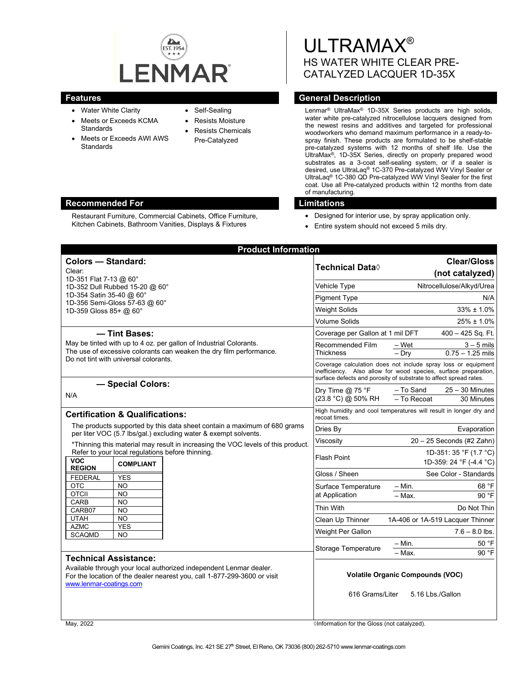

Restaurant Furniture, Commercial Cabinets, Office Furniture, Kitchen Cabinets, Bathroom Vanities, Displays & Fixtures

- Water White Clarity
- Meets or Exceeds KCMA **Standards**
- Meets or Exceeds AWI AWS **Standards**
- Self-Sealing
- Resists Moisture
- Resists Chemicals Pre-Catalyzed

ULTRAMAX® HS WATER WHITE CLEAR PRE-CATALYZED LACQUER 1D-35X

# **Features General Description**

Lenmar® UltraMax® 1D-35X Series products are high solids, water white pre-catalyzed nitrocellulose lacquers designed from the newest resins and additives and targeted for professional woodworkers who demand maximum performance in a ready-tospray finish. These products are formulated to be shelf-stable pre-catalyzed systems with 12 months of shelf life. Use the UltraMax®, 1D-35X Series, directly on properly prepared wood substrates as a 3-coat self-sealing system, or if a sealer is desired, use UltraLaq® 1C-370 Pre-catalyzed WW Vinyl Sealer or UltraLaq® 1C-380 QD Pre-catalyzed WW Vinyl Sealer for the first coat. Use all Pre-catalyzed products within 12 months from date of manufacturing.

## **Recommended For Limitations**

- Designed for interior use, by spray application only.
- Entire system should not exceed 5 mils dry.

| <b>Product Information</b>                                                                                                                                                                                |                                                                                                                                                                                                       |                                                                   |
|-----------------------------------------------------------------------------------------------------------------------------------------------------------------------------------------------------------|-------------------------------------------------------------------------------------------------------------------------------------------------------------------------------------------------------|-------------------------------------------------------------------|
| <b>Colors - Standard:</b><br>Clear:<br>1D-351 Flat 7-13 @ 60°                                                                                                                                             | <b>Technical Data</b> ◊                                                                                                                                                                               | <b>Clear/Gloss</b><br>(not catalyzed)                             |
| 1D-352 Dull Rubbed 15-20 @ 60°<br>1D-354 Satin 35-40 @ 60°<br>1D-356 Semi-Gloss 57-63 @ 60°<br>1D-359 Gloss 85+ @ 60°                                                                                     | Vehicle Type                                                                                                                                                                                          | Nitrocellulose/Alkyd/Urea                                         |
|                                                                                                                                                                                                           | <b>Pigment Type</b>                                                                                                                                                                                   | N/A                                                               |
|                                                                                                                                                                                                           | <b>Weight Solids</b>                                                                                                                                                                                  | $33\% \pm 1.0\%$                                                  |
|                                                                                                                                                                                                           | <b>Volume Solids</b>                                                                                                                                                                                  | $25\% \pm 1.0\%$                                                  |
| - Tint Bases:<br>May be tinted with up to 4 oz. per gallon of Industrial Colorants.<br>The use of excessive colorants can weaken the dry film performance.<br>Do not tint with universal colorants.       | Coverage per Gallon at 1 mil DFT                                                                                                                                                                      | $400 - 425$ Sq. Ft.                                               |
|                                                                                                                                                                                                           | Recommended Film<br><b>Thickness</b>                                                                                                                                                                  | – Wet<br>$3 - 5$ mils<br>$0.75 - 1.25$ mils<br>$-$ Dry            |
|                                                                                                                                                                                                           | Coverage calculation does not include spray loss or equipment<br>inefficiency. Also allow for wood species, surface preparation,<br>surface defects and porosity of substrate to affect spread rates. |                                                                   |
| - Special Colors:<br>N/A                                                                                                                                                                                  | Dry Time $@$ 75 °F<br>(23.8 °C) @ 50% RH                                                                                                                                                              | - To Sand<br>$25 - 30$ Minutes<br>- To Recoat<br>30 Minutes       |
| <b>Certification &amp; Qualifications:</b>                                                                                                                                                                | recoat times.                                                                                                                                                                                         | High humidity and cool temperatures will result in longer dry and |
| The products supported by this data sheet contain a maximum of 680 grams<br>per liter VOC (5.7 lbs/gal.) excluding water & exempt solvents.                                                               | Dries By                                                                                                                                                                                              | Evaporation                                                       |
| *Thinning this material may result in increasing the VOC levels of this product.<br>Refer to your local regulations before thinning.<br><b>VOC</b><br><b>COMPLIANT</b>                                    | Viscosity                                                                                                                                                                                             | $20 - 25$ Seconds (#2 Zahn)                                       |
|                                                                                                                                                                                                           | <b>Flash Point</b>                                                                                                                                                                                    | 1D-351: 35 °F (1.7 °C)<br>1D-359: 24 °F (-4.4 °C)                 |
| <b>REGION</b><br><b>FEDERAL</b><br><b>YES</b>                                                                                                                                                             | Gloss / Sheen                                                                                                                                                                                         | See Color - Standards                                             |
| <b>OTC</b><br><b>NO</b><br><b>OTCII</b><br><b>NO</b>                                                                                                                                                      | Surface Temperature<br>at Application                                                                                                                                                                 | 68 °F<br>$-$ Min.<br>$-$ Max.<br>90 °F                            |
| CARB<br><b>NO</b><br>CARB07<br><b>NO</b>                                                                                                                                                                  | <b>Thin With</b>                                                                                                                                                                                      | Do Not Thin                                                       |
| <b>UTAH</b><br><b>NO</b>                                                                                                                                                                                  | Clean Up Thinner                                                                                                                                                                                      | 1A-406 or 1A-519 Lacquer Thinner                                  |
| <b>AZMC</b><br><b>YES</b><br><b>SCAQMD</b><br><b>NO</b>                                                                                                                                                   | Weight Per Gallon                                                                                                                                                                                     | $7.6 - 8.0$ lbs.                                                  |
|                                                                                                                                                                                                           | Storage Temperature                                                                                                                                                                                   | $-$ Min.<br>50 °F<br>$-Max$ .<br>90 °F                            |
| <b>Technical Assistance:</b><br>Available through your local authorized independent Lenmar dealer.<br>For the location of the dealer nearest you, call 1-877-299-3600 or visit<br>www.lenmar-coatings.com | 616 Grams/Liter                                                                                                                                                                                       | <b>Volatile Organic Compounds (VOC)</b><br>5.16 Lbs./Gallon       |